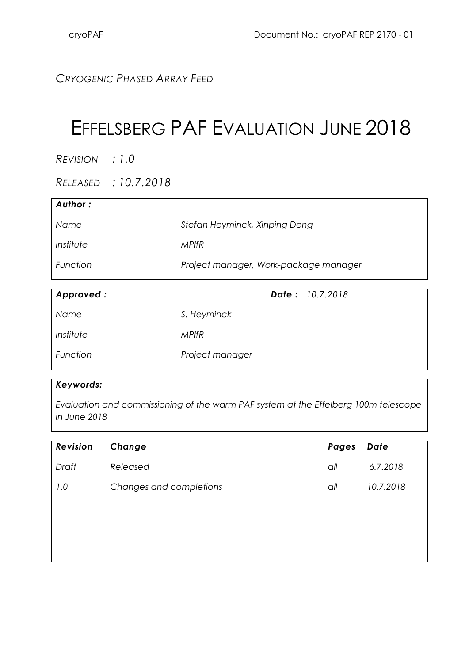### *CRYOGENIC PHASED ARRAY FEED*

# EFFELSBERG PAF EVALUATION JUNE 2018

*REVISION : 1.0*

*RELEASED : 10.7.2018*

| Author:   |                                       |
|-----------|---------------------------------------|
| Name      | Stefan Heyminck, Xinping Deng         |
| Institute | MPIfR                                 |
| Function  | Project manager, Work-package manager |

| Approved: | <b>Date:</b> 10.7.2018 |
|-----------|------------------------|
| Name      | S. Heyminck            |
| Institute | <b>MPIfR</b>           |
| Function  | Project manager        |

#### *Keywords:*

*Evaluation and commissioning of the warm PAF system at the Effelberg 100m telescope in June 2018*

| <b>Revision</b> | Change                  | Pages | Date      |
|-----------------|-------------------------|-------|-----------|
| Draft           | Released                | all   | 6.7.2018  |
| 1.0             | Changes and completions | all   | 10.7.2018 |
|                 |                         |       |           |
|                 |                         |       |           |
|                 |                         |       |           |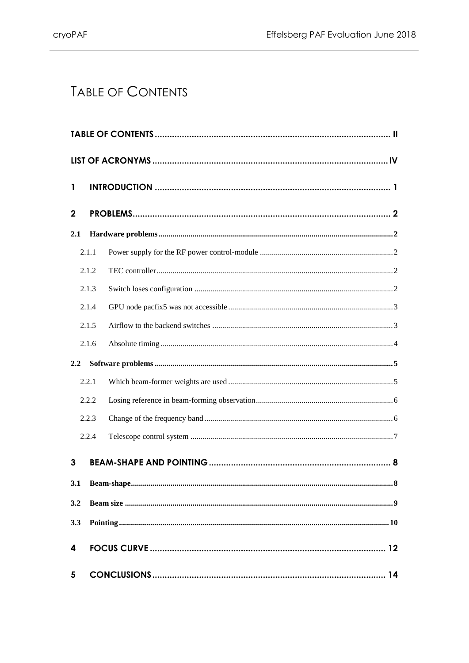# <span id="page-1-0"></span>TABLE OF CONTENTS

| $\mathbf{1}$ |       |  |  |  |  |
|--------------|-------|--|--|--|--|
| $\mathbf{2}$ |       |  |  |  |  |
| 2.1          |       |  |  |  |  |
|              | 2.1.1 |  |  |  |  |
|              | 2.1.2 |  |  |  |  |
|              | 2.1.3 |  |  |  |  |
|              | 2.1.4 |  |  |  |  |
|              | 2.1.5 |  |  |  |  |
|              | 2.1.6 |  |  |  |  |
| 2.2          |       |  |  |  |  |
|              | 2.2.1 |  |  |  |  |
|              | 2.2.2 |  |  |  |  |
|              | 2.2.3 |  |  |  |  |
|              | 2.2.4 |  |  |  |  |
| 3            |       |  |  |  |  |
| 3.1          |       |  |  |  |  |
| 3.2          |       |  |  |  |  |
| 3.3          |       |  |  |  |  |
| 4            |       |  |  |  |  |
| 5            |       |  |  |  |  |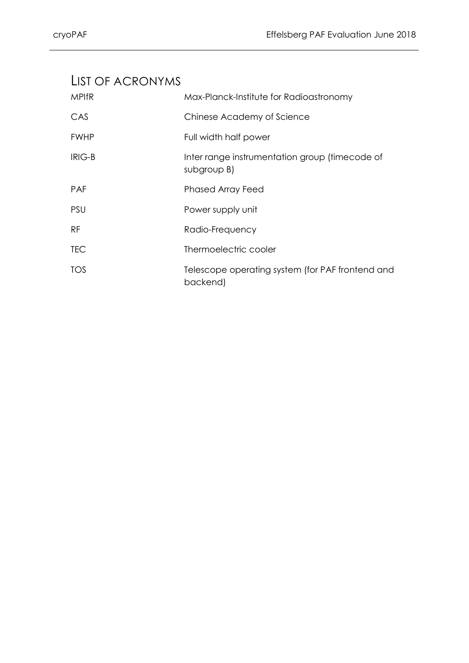### <span id="page-3-0"></span>LIST OF ACRONYMS

| <b>MPIfR</b>  | Max-Planck-Institute for Radioastronomy                       |
|---------------|---------------------------------------------------------------|
| CAS           | Chinese Academy of Science                                    |
| <b>FWHP</b>   | Full width half power                                         |
| <b>IRIG-B</b> | Inter range instrumentation group (timecode of<br>subgroup B) |
| <b>PAF</b>    | <b>Phased Array Feed</b>                                      |
| <b>PSU</b>    | Power supply unit                                             |
| <b>RF</b>     | Radio-Frequency                                               |
| <b>TEC</b>    | Thermoelectric cooler                                         |
| <b>TOS</b>    | Telescope operating system (for PAF frontend and<br>backend)  |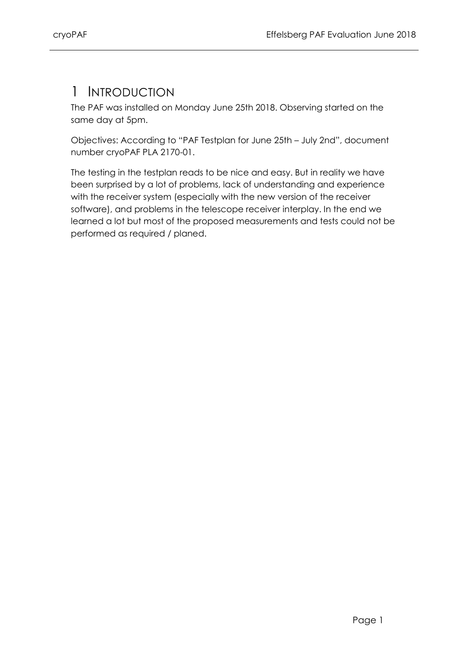### <span id="page-4-0"></span>1 INTRODUCTION

The PAF was installed on Monday June 25th 2018. Observing started on the same day at 5pm.

Objectives: According to "PAF Testplan for June 25th – July 2nd", document number cryoPAF PLA 2170-01.

The testing in the testplan reads to be nice and easy. But in reality we have been surprised by a lot of problems, lack of understanding and experience with the receiver system (especially with the new version of the receiver software), and problems in the telescope receiver interplay. In the end we learned a lot but most of the proposed measurements and tests could not be performed as required / planed.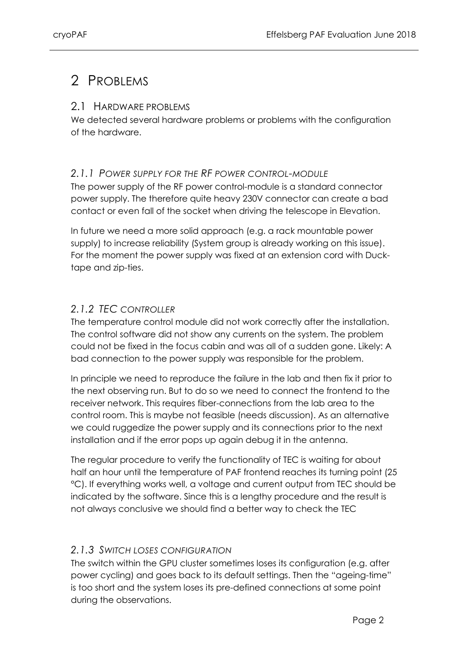# <span id="page-5-0"></span>2 PROBLEMS

#### <span id="page-5-1"></span>2.1 HARDWARE PROBLEMS

We detected several hardware problems or problems with the configuration of the hardware.

#### <span id="page-5-2"></span>*2.1.1 POWER SUPPLY FOR THE RF POWER CONTROL-MODULE*

The power supply of the RF power control-module is a standard connector power supply. The therefore quite heavy 230V connector can create a bad contact or even fall of the socket when driving the telescope in Elevation.

In future we need a more solid approach (e.g. a rack mountable power supply) to increase reliability (System group is already working on this issue). For the moment the power supply was fixed at an extension cord with Ducktape and zip-ties.

#### <span id="page-5-3"></span>*2.1.2 TEC CONTROLLER*

The temperature control module did not work correctly after the installation. The control software did not show any currents on the system. The problem could not be fixed in the focus cabin and was all of a sudden gone. Likely: A bad connection to the power supply was responsible for the problem.

In principle we need to reproduce the failure in the lab and then fix it prior to the next observing run. But to do so we need to connect the frontend to the receiver network. This requires fiber-connections from the lab area to the control room. This is maybe not feasible (needs discussion). As an alternative we could ruggedize the power supply and its connections prior to the next installation and if the error pops up again debug it in the antenna.

The regular procedure to verify the functionality of TEC is waiting for about half an hour until the temperature of PAF frontend reaches its turning point (25 °C). If everything works well, a voltage and current output from TEC should be indicated by the software. Since this is a lengthy procedure and the result is not always conclusive we should find a better way to check the TEC

#### <span id="page-5-4"></span>*2.1.3 SWITCH LOSES CONFIGURATION*

The switch within the GPU cluster sometimes loses its configuration (e.g. after power cycling) and goes back to its default settings. Then the "ageing-time" is too short and the system loses its pre-defined connections at some point during the observations.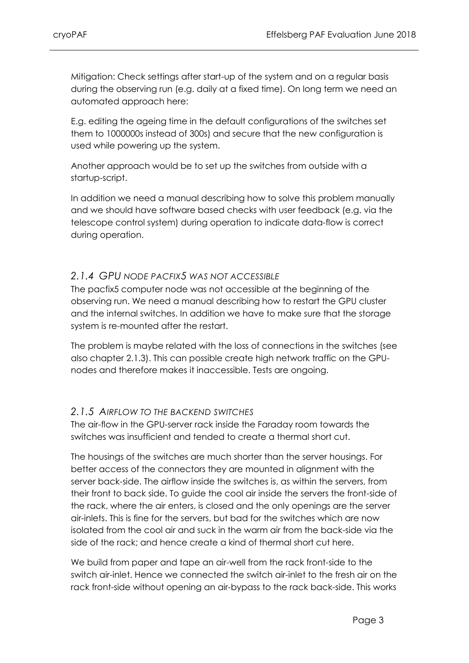Mitigation: Check settings after start-up of the system and on a regular basis during the observing run (e.g. daily at a fixed time). On long term we need an automated approach here:

E.g. editing the ageing time in the default configurations of the switches set them to 1000000s instead of 300s) and secure that the new configuration is used while powering up the system.

Another approach would be to set up the switches from outside with a startup-script.

In addition we need a manual describing how to solve this problem manually and we should have software based checks with user feedback (e.g. via the telescope control system) during operation to indicate data-flow is correct during operation.

#### <span id="page-6-0"></span>*2.1.4 GPU NODE PACFIX5 WAS NOT ACCESSIBLE*

The pacfix5 computer node was not accessible at the beginning of the observing run. We need a manual describing how to restart the GPU cluster and the internal switches. In addition we have to make sure that the storage system is re-mounted after the restart.

The problem is maybe related with the loss of connections in the switches (see also chapter [2.1.3\)](#page-5-4). This can possible create high network traffic on the GPUnodes and therefore makes it inaccessible. Tests are ongoing.

#### <span id="page-6-1"></span>*2.1.5 AIRFLOW TO THE BACKEND SWITCHES*

The air-flow in the GPU-server rack inside the Faraday room towards the switches was insufficient and tended to create a thermal short cut.

The housings of the switches are much shorter than the server housings. For better access of the connectors they are mounted in alignment with the server back-side. The airflow inside the switches is, as within the servers, from their front to back side. To guide the cool air inside the servers the front-side of the rack, where the air enters, is closed and the only openings are the server air-inlets. This is fine for the servers, but bad for the switches which are now isolated from the cool air and suck in the warm air from the back-side via the side of the rack; and hence create a kind of thermal short cut here.

We build from paper and tape an air-well from the rack front-side to the switch air-inlet. Hence we connected the switch air-inlet to the fresh air on the rack front-side without opening an air-bypass to the rack back-side. This works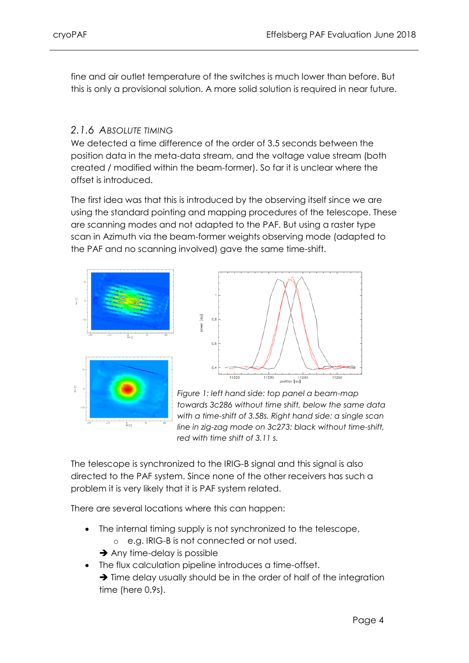fine and air outlet temperature of the switches is much lower than before. But this is only a provisional solution. A more solid solution is required in near future.

#### <span id="page-7-0"></span>*2.1.6 ABSOLUTE TIMING*

We detected a time difference of the order of 3.5 seconds between the position data in the meta-data stream, and the voltage value stream (both created / modified within the beam-former). So far it is unclear where the offset is introduced.

The first idea was that this is introduced by the observing itself since we are using the standard pointing and mapping procedures of the telescope. These are scanning modes and not adapted to the PAF. But using a raster type scan in Azimuth via the beam-former weights observing mode (adapted to the PAF and no scanning involved) gave the same time-shift.





*Figure 1: left hand side: top panel a beam-map towards 3c286 without time shift, below the same data with a time-shift of 3.58s. Right hand side: a single scan line in zig-zag mode on 3c273: black without time-shift, red with time shift of 3.11 s.* 

The telescope is synchronized to the IRIG-B signal and this signal is also directed to the PAF system. Since none of the other receivers has such a problem it is very likely that it is PAF system related.

There are several locations where this can happen:

- The internal timing supply is not synchronized to the telescope,
	- o e.g. IRIG-B is not connected or not used.
	- $\rightarrow$  Any time-delay is possible
- The flux calculation pipeline introduces a time-offset.  $\rightarrow$  Time delay usually should be in the order of half of the integration time (here 0.9s).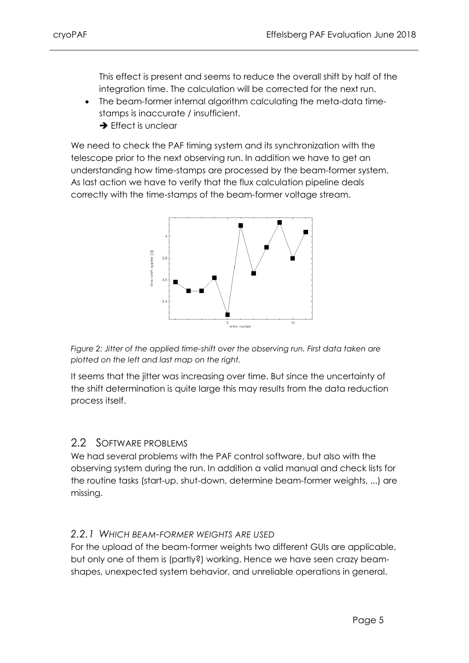This effect is present and seems to reduce the overall shift by half of the integration time. The calculation will be corrected for the next run.

- The beam-former internal algorithm calculating the meta-data timestamps is inaccurate / insufficient.
	- $\rightarrow$  Effect is unclear

We need to check the PAF timing system and its synchronization with the telescope prior to the next observing run. In addition we have to get an understanding how time-stamps are processed by the beam-former system. As last action we have to verify that the flux calculation pipeline deals correctly with the time-stamps of the beam-former voltage stream.



*Figure 2: Jitter of the applied time-shift over the observing run. First data taken are plotted on the left and last map on the right.*

It seems that the jitter was increasing over time. But since the uncertainty of the shift determination is quite large this may results from the data reduction process itself.

#### <span id="page-8-0"></span>2.2 SOFTWARE PROBLEMS

We had several problems with the PAF control software, but also with the observing system during the run. In addition a valid manual and check lists for the routine tasks (start-up, shut-down, determine beam-former weights, ...) are missing.

#### <span id="page-8-1"></span>*2.2.1 WHICH BEAM-FORMER WEIGHTS ARE USED*

For the upload of the beam-former weights two different GUIs are applicable, but only one of them is (partly?) working. Hence we have seen crazy beamshapes, unexpected system behavior, and unreliable operations in general.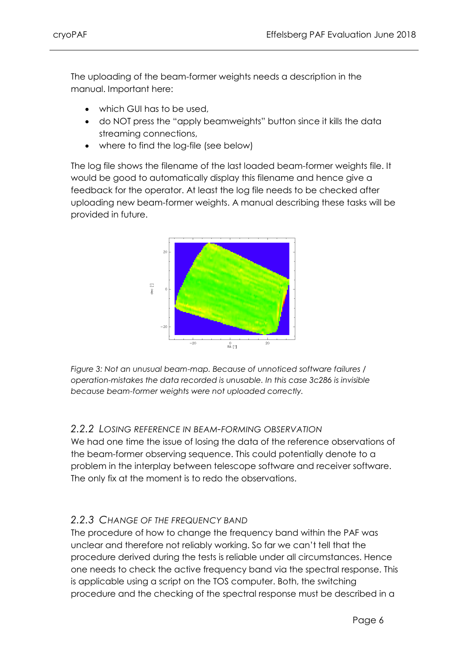The uploading of the beam-former weights needs a description in the manual. Important here:

- which GUI has to be used,
- do NOT press the "apply beamweights" button since it kills the data streaming connections,
- where to find the log-file (see below)

The log file shows the filename of the last loaded beam-former weights file. It would be good to automatically display this filename and hence give a feedback for the operator. At least the log file needs to be checked after uploading new beam-former weights. A manual describing these tasks will be provided in future.



*Figure 3: Not an unusual beam-map. Because of unnoticed software failures / operation-mistakes the data recorded is unusable. In this case 3c286 is invisible because beam-former weights were not uploaded correctly.*

#### <span id="page-9-0"></span>*2.2.2 LOSING REFERENCE IN BEAM-FORMING OBSERVATION*

We had one time the issue of losing the data of the reference observations of the beam-former observing sequence. This could potentially denote to a problem in the interplay between telescope software and receiver software. The only fix at the moment is to redo the observations.

#### <span id="page-9-1"></span>*2.2.3 CHANGE OF THE FREQUENCY BAND*

The procedure of how to change the frequency band within the PAF was unclear and therefore not reliably working. So far we can't tell that the procedure derived during the tests is reliable under all circumstances. Hence one needs to check the active frequency band via the spectral response. This is applicable using a script on the TOS computer. Both, the switching procedure and the checking of the spectral response must be described in a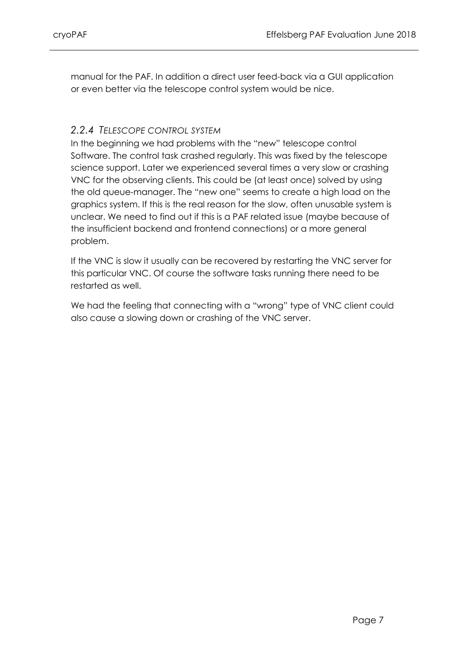manual for the PAF. In addition a direct user feed-back via a GUI application or even better via the telescope control system would be nice.

#### <span id="page-10-0"></span>*2.2.4 TELESCOPE CONTROL SYSTEM*

In the beginning we had problems with the "new" telescope control Software. The control task crashed regularly. This was fixed by the telescope science support. Later we experienced several times a very slow or crashing VNC for the observing clients. This could be (at least once) solved by using the old queue-manager. The "new one" seems to create a high load on the graphics system. If this is the real reason for the slow, often unusable system is unclear. We need to find out if this is a PAF related issue (maybe because of the insufficient backend and frontend connections) or a more general problem.

If the VNC is slow it usually can be recovered by restarting the VNC server for this particular VNC. Of course the software tasks running there need to be restarted as well.

We had the feeling that connecting with a "wrong" type of VNC client could also cause a slowing down or crashing of the VNC server.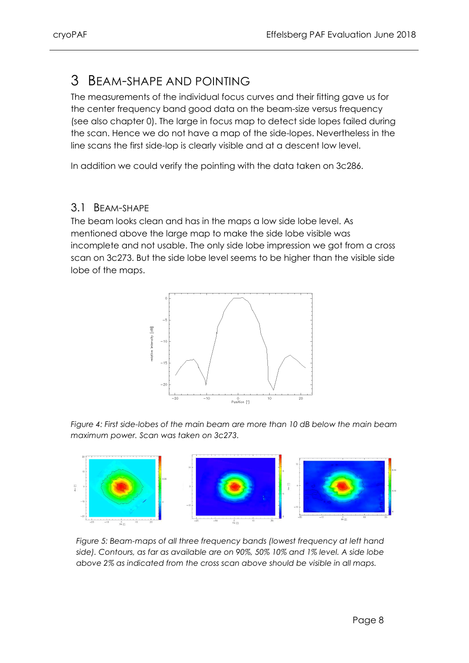### <span id="page-11-0"></span>3 BEAM-SHAPE AND POINTING

The measurements of the individual focus curves and their fitting gave us for the center frequency band good data on the beam-size versus frequency (see also chapter [0\)](#page-12-1). The large in focus map to detect side lopes failed during the scan. Hence we do not have a map of the side-lopes. Nevertheless in the line scans the first side-lop is clearly visible and at a descent low level.

In addition we could verify the pointing with the data taken on 3c286.

#### <span id="page-11-1"></span>3.1 BEAM-SHAPE

The beam looks clean and has in the maps a low side lobe level. As mentioned above the large map to make the side lobe visible was incomplete and not usable. The only side lobe impression we got from a cross scan on 3c273. But the side lobe level seems to be higher than the visible side lobe of the maps.



*Figure 4: First side-lobes of the main beam are more than 10 dB below the main beam maximum power. Scan was taken on 3c273.*



*Figure 5: Beam-maps of all three frequency bands (lowest frequency at left hand side). Contours, as far as available are on 90%, 50% 10% and 1% level. A side lobe above 2% as indicated from the cross scan above should be visible in all maps.*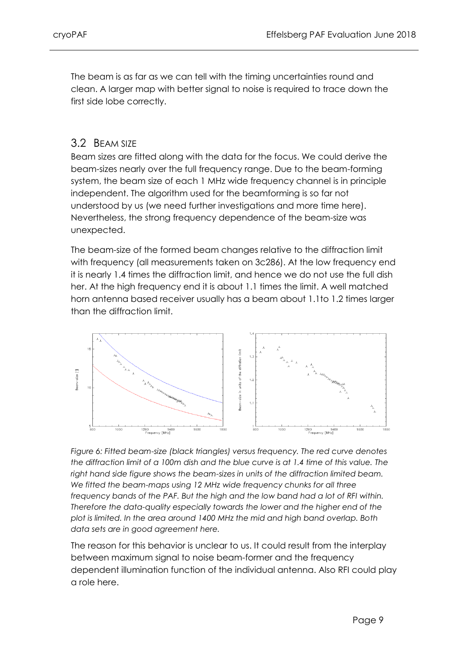The beam is as far as we can tell with the timing uncertainties round and clean. A larger map with better signal to noise is required to trace down the first side lobe correctly.

#### <span id="page-12-0"></span>3.2 BEAM SIZE

Beam sizes are fitted along with the data for the focus. We could derive the beam-sizes nearly over the full frequency range. Due to the beam-forming system, the beam size of each 1 MHz wide frequency channel is in principle independent. The algorithm used for the beamforming is so far not understood by us (we need further investigations and more time here). Nevertheless, the strong frequency dependence of the beam-size was unexpected.

The beam-size of the formed beam changes relative to the diffraction limit with frequency (all measurements taken on 3c286). At the low frequency end it is nearly 1.4 times the diffraction limit, and hence we do not use the full dish her. At the high frequency end it is about 1.1 times the limit. A well matched horn antenna based receiver usually has a beam about 1.1to 1.2 times larger than the diffraction limit.



*Figure 6: Fitted beam-size (black triangles) versus frequency. The red curve denotes the diffraction limit of a 100m dish and the blue curve is at 1.4 time of this value. The right hand side figure shows the beam-sizes in units of the diffraction limited beam. We fitted the beam-maps using 12 MHz wide frequency chunks for all three frequency bands of the PAF. But the high and the low band had a lot of RFI within. Therefore the data-quality especially towards the lower and the higher end of the plot is limited. In the area around 1400 MHz the mid and high band overlap. Both data sets are in good agreement here.*

<span id="page-12-1"></span>The reason for this behavior is unclear to us. It could result from the interplay between maximum signal to noise beam-former and the frequency dependent illumination function of the individual antenna. Also RFI could play a role here.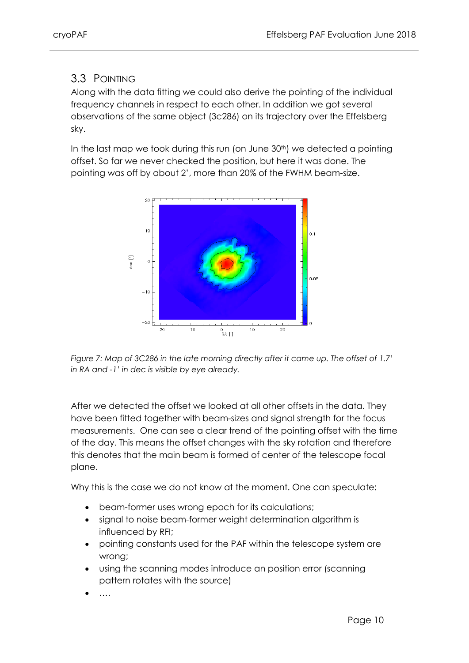### <span id="page-13-0"></span>3.3 POINTING

Along with the data fitting we could also derive the pointing of the individual frequency channels in respect to each other. In addition we got several observations of the same object (3c286) on its trajectory over the Effelsberg sky.

In the last map we took during this run (on June 30<sup>th</sup>) we detected a pointing offset. So far we never checked the position, but here it was done. The pointing was off by about 2', more than 20% of the FWHM beam-size.



*Figure 7: Map of 3C286 in the late morning directly after it came up. The offset of 1.7' in RA and -1' in dec is visible by eye already.*

After we detected the offset we looked at all other offsets in the data. They have been fitted together with beam-sizes and signal strength for the focus measurements. One can see a clear trend of the pointing offset with the time of the day. This means the offset changes with the sky rotation and therefore this denotes that the main beam is formed of center of the telescope focal plane.

Why this is the case we do not know at the moment. One can speculate:

- beam-former uses wrong epoch for its calculations;
- signal to noise beam-former weight determination algorithm is influenced by RFI;
- pointing constants used for the PAF within the telescope system are wrong;
- using the scanning modes introduce an position error (scanning pattern rotates with the source)
- ….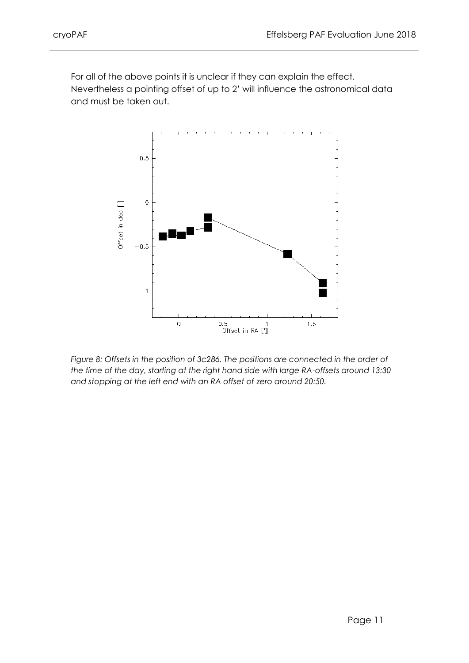For all of the above points it is unclear if they can explain the effect. Nevertheless a pointing offset of up to 2' will influence the astronomical data and must be taken out.



*Figure 8: Offsets in the position of 3c286. The positions are connected in the order of the time of the day, starting at the right hand side with large RA-offsets around 13:30 and stopping at the left end with an RA offset of zero around 20:50.*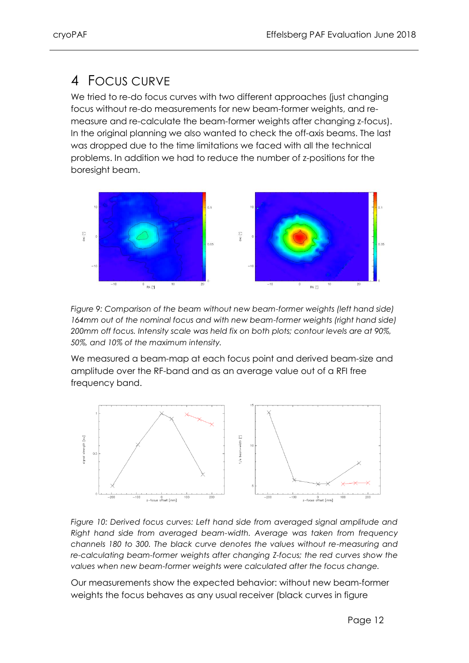# <span id="page-15-0"></span>4 FOCUS CURVE

We tried to re-do focus curves with two different approaches (just changing focus without re-do measurements for new beam-former weights, and remeasure and re-calculate the beam-former weights after changing z-focus). In the original planning we also wanted to check the off-axis beams. The last was dropped due to the time limitations we faced with all the technical problems. In addition we had to reduce the number of z-positions for the boresight beam.



*Figure 9: Comparison of the beam without new beam-former weights (left hand side)*  164mm out of the nominal focus and with new beam-former weights (right hand side) *200mm off focus. Intensity scale was held fix on both plots; contour levels are at 90%, 50%, and 10% of the maximum intensity.*

We measured a beam-map at each focus point and derived beam-size and amplitude over the RF-band and as an average value out of a RFI free frequency band.



*Figure 10: Derived focus curves: Left hand side from averaged signal amplitude and Right hand side from averaged beam-width. Average was taken from frequency channels 180 to 300. The black curve denotes the values without re-measuring and re-calculating beam-former weights after changing Z-focus; the red curves show the values when new beam-former weights were calculated after the focus change.*

Our measurements show the expected behavior: without new beam-former weights the focus behaves as any usual receiver (black curves in figure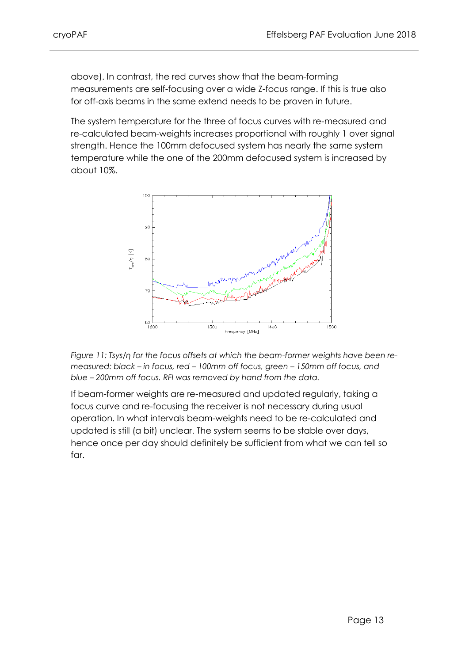above). In contrast, the red curves show that the beam-forming measurements are self-focusing over a wide Z-focus range. If this is true also for off-axis beams in the same extend needs to be proven in future.

The system temperature for the three of focus curves with re-measured and re-calculated beam-weights increases proportional with roughly 1 over signal strength. Hence the 100mm defocused system has nearly the same system temperature while the one of the 200mm defocused system is increased by about 10%.





If beam-former weights are re-measured and updated regularly, taking a focus curve and re-focusing the receiver is not necessary during usual operation. In what intervals beam-weights need to be re-calculated and updated is still (a bit) unclear. The system seems to be stable over days, hence once per day should definitely be sufficient from what we can tell so far.